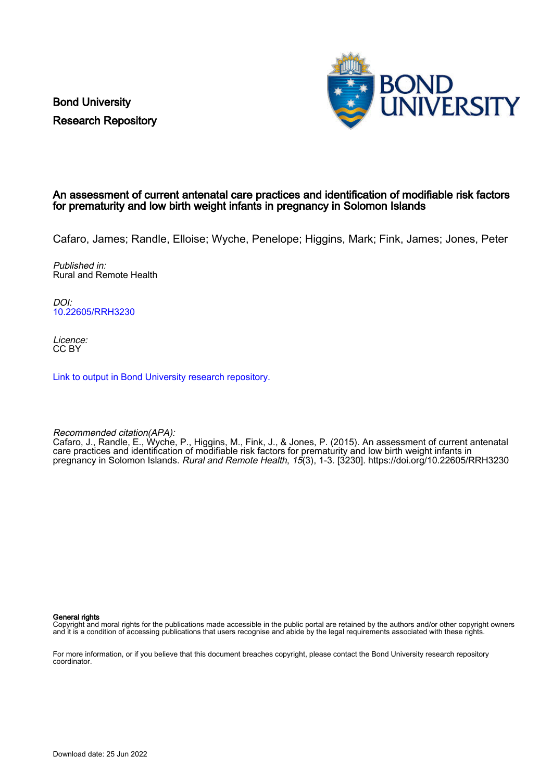Bond University Research Repository



### An assessment of current antenatal care practices and identification of modifiable risk factors for prematurity and low birth weight infants in pregnancy in Solomon Islands

Cafaro, James; Randle, Elloise; Wyche, Penelope; Higgins, Mark; Fink, James; Jones, Peter

Published in: Rural and Remote Health

DOI: [10.22605/RRH3230](https://doi.org/10.22605/RRH3230)

Licence: CC BY

[Link to output in Bond University research repository.](https://research.bond.edu.au/en/publications/2448a7e8-c9ff-4d15-b03e-9cd1b5764652)

Recommended citation(APA):

Cafaro, J., Randle, E., Wyche, P., Higgins, M., Fink, J., & Jones, P. (2015). An assessment of current antenatal care practices and identification of modifiable risk factors for prematurity and low birth weight infants in pregnancy in Solomon Islands. Rural and Remote Health, 15(3), 1-3. [3230]. <https://doi.org/10.22605/RRH3230>

General rights

Copyright and moral rights for the publications made accessible in the public portal are retained by the authors and/or other copyright owners and it is a condition of accessing publications that users recognise and abide by the legal requirements associated with these rights.

For more information, or if you believe that this document breaches copyright, please contact the Bond University research repository coordinator.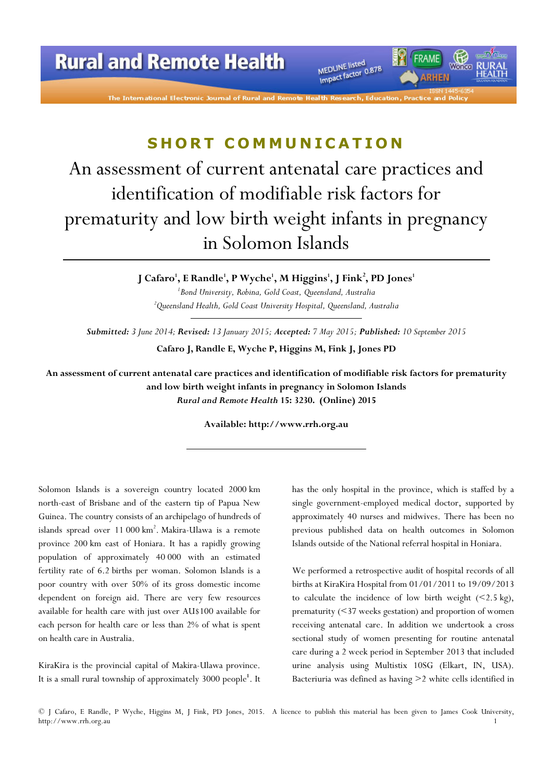MEDLINE listed<br>Impact factor 0.878

MEDLINE listed

The International Electronic Journal of Rural and

# SHORT COMMUNICATION

# An assessment of current antenatal care practices and identification of modifiable risk factors for prematurity and low birth weight infants in pregnancy in Solomon Islands

J Cafaro<sup>1</sup>, E Randle<sup>1</sup>, P Wyche<sup>1</sup>, M Higgins<sup>1</sup>, J Fink<sup>2</sup>, PD Jones<sup>1</sup> <sup>1</sup> Bond University, Robina, Gold Coast, Queensland, Australia  $2^2$ Queensland Health, Gold Coast University Hospital, Queensland, Australia

Submitted: 3 June 2014; Revised: 13 January 2015; Accepted: 7 May 2015; Published: 10 September 2015

Cafaro J, Randle E, Wyche P, Higgins M, Fink J, Jones PD

An assessment of current antenatal care practices and identification of modifiable risk factors for prematurity and low birth weight infants in pregnancy in Solomon Islands Rural and Remote Health 15: 3230. (Online) 2015

Available: http://www.rrh.org.au

Solomon Islands is a sovereign country located 2000 km north-east of Brisbane and of the eastern tip of Papua New Guinea. The country consists of an archipelago of hundreds of islands spread over 11 000 km<sup>2</sup>. Makira-Ulawa is a remote province 200 km east of Honiara. It has a rapidly growing population of approximately 40 000 with an estimated fertility rate of 6.2 births per woman. Solomon Islands is a poor country with over 50% of its gross domestic income dependent on foreign aid. There are very few resources available for health care with just over AU\$100 available for each person for health care or less than 2% of what is spent on health care in Australia.

KiraKira is the provincial capital of Makira-Ulawa province. It is a small rural township of approximately 3000 people<sup>1</sup>. It has the only hospital in the province, which is staffed by a single government-employed medical doctor, supported by approximately 40 nurses and midwives. There has been no previous published data on health outcomes in Solomon Islands outside of the National referral hospital in Honiara.

We performed a retrospective audit of hospital records of all births at KiraKira Hospital from 01/01/2011 to 19/09/2013 to calculate the incidence of low birth weight  $(\leq 2.5 \text{ kg})$ , prematurity (<37 weeks gestation) and proportion of women receiving antenatal care. In addition we undertook a cross sectional study of women presenting for routine antenatal care during a 2 week period in September 2013 that included urine analysis using Multistix 10SG (Elkart, IN, USA). Bacteriuria was defined as having >2 white cells identified in

© J Cafaro, E Randle, P Wyche, Higgins M, J Fink, PD Jones, 2015. A licence to publish this material has been given to James Cook University, http://www.rrh.org.au 1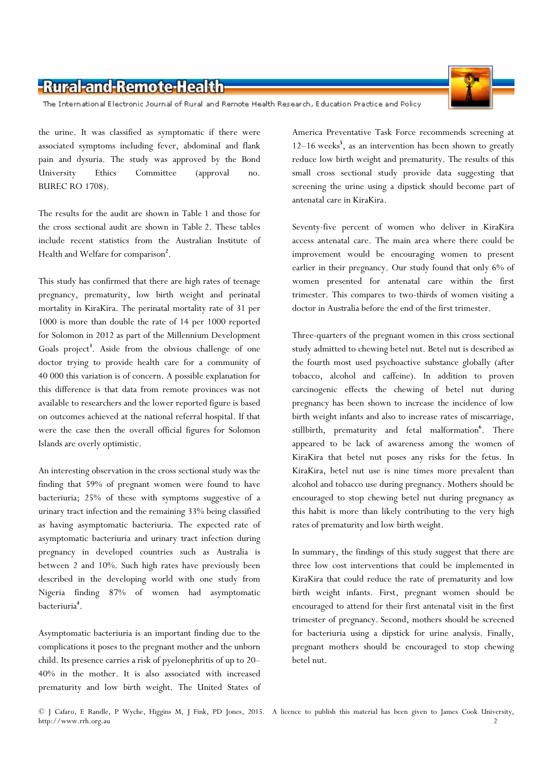## -Rural-and-Remote-Health

The International Electronic Journal of Rural and Remote Health Research, Education Practice and Policy

the urine. It was classified as symptomatic if there were associated symptoms including fever, abdominal and flank pain and dysuria. The study was approved by the Bond University Ethics Committee (approval no. BUREC RO 1708).

The results for the audit are shown in Table 1 and those for the cross sectional audit are shown in Table 2. These tables include recent statistics from the Australian Institute of Health and Welfare for comparison<sup>2</sup>.

This study has confirmed that there are high rates of teenage pregnancy, prematurity, low birth weight and perinatal mortality in KiraKira. The perinatal mortality rate of 31 per 1000 is more than double the rate of 14 per 1000 reported for Solomon in 2012 as part of the Millennium Development Goals project<sup>3</sup>. Aside from the obvious challenge of one doctor trying to provide health care for a community of 40 000 this variation is of concern. A possible explanation for this difference is that data from remote provinces was not available to researchers and the lower reported figure is based on outcomes achieved at the national referral hospital. If that were the case then the overall official figures for Solomon Islands are overly optimistic.

An interesting observation in the cross sectional study was the finding that 59% of pregnant women were found to have bacteriuria; 25% of these with symptoms suggestive of a urinary tract infection and the remaining 33% being classified as having asymptomatic bacteriuria. The expected rate of asymptomatic bacteriuria and urinary tract infection during pregnancy in developed countries such as Australia is between 2 and 10%. Such high rates have previously been described in the developing world with one study from Nigeria finding 87% of women had asymptomatic bacteriuria<sup>4</sup>.

Asymptomatic bacteriuria is an important finding due to the complications it poses to the pregnant mother and the unborn child. Its presence carries a risk of pyelonephritis of up to 20– 40% in the mother. It is also associated with increased prematurity and low birth weight. The United States of America Preventative Task Force recommends screening at 12-16 weeks<sup>5</sup>, as an intervention has been shown to greatly reduce low birth weight and prematurity. The results of this small cross sectional study provide data suggesting that screening the urine using a dipstick should become part of antenatal care in KiraKira.

Seventy-five percent of women who deliver in KiraKira access antenatal care. The main area where there could be improvement would be encouraging women to present earlier in their pregnancy. Our study found that only 6% of women presented for antenatal care within the first trimester. This compares to two-thirds of women visiting a doctor in Australia before the end of the first trimester.

Three-quarters of the pregnant women in this cross sectional study admitted to chewing betel nut. Betel nut is described as the fourth most used psychoactive substance globally (after tobacco, alcohol and caffeine). In addition to proven carcinogenic effects the chewing of betel nut during pregnancy has been shown to increase the incidence of low birth weight infants and also to increase rates of miscarriage, stillbirth, prematurity and fetal malformation<sup>6</sup>. There appeared to be lack of awareness among the women of KiraKira that betel nut poses any risks for the fetus. In KiraKira, betel nut use is nine times more prevalent than alcohol and tobacco use during pregnancy. Mothers should be encouraged to stop chewing betel nut during pregnancy as this habit is more than likely contributing to the very high rates of prematurity and low birth weight.

In summary, the findings of this study suggest that there are three low cost interventions that could be implemented in KiraKira that could reduce the rate of prematurity and low birth weight infants. First, pregnant women should be encouraged to attend for their first antenatal visit in the first trimester of pregnancy. Second, mothers should be screened for bacteriuria using a dipstick for urine analysis. Finally, pregnant mothers should be encouraged to stop chewing betel nut.

© J Cafaro, E Randle, P Wyche, Higgins M, J Fink, PD Jones, 2015. A licence to publish this material has been given to James Cook University, http://www.rrh.org.au 2